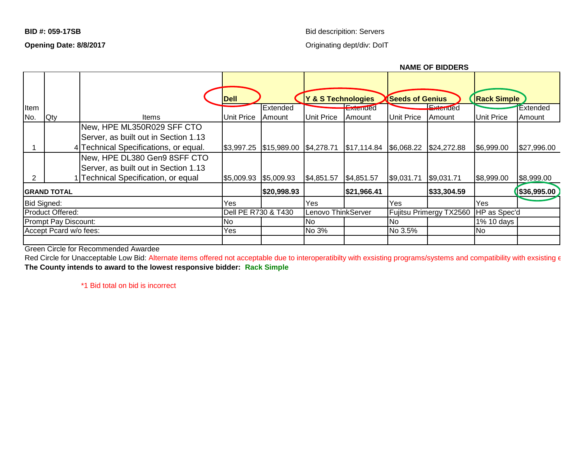## **BID #: 059-17SB** Bid descripition: Servers

**NAME OF BIDDERS**

## **Opening Date: 8/8/2017 Opening Date: 8/8/2017 Originating dept/div: DoIT**

|                        |                      |                                       |                       | <b>INAIVIE UF DIVUENJ</b>                      |                    |             |                         |             |                    |              |
|------------------------|----------------------|---------------------------------------|-----------------------|------------------------------------------------|--------------------|-------------|-------------------------|-------------|--------------------|--------------|
|                        |                      |                                       | Dell                  |                                                | Y & S Technologies |             | <b>Seeds of Genius</b>  |             | <b>Rack Simple</b> |              |
| Item                   |                      |                                       |                       | Extended                                       |                    | Exteriaed   |                         | Exterided   |                    | Extended     |
| No.                    | <b>Qty</b>           | Items                                 | <b>Unit Price</b>     | Amount                                         | <b>Unit Price</b>  | Amount      | <b>Unit Price</b>       | Amount      | <b>Unit Price</b>  | Amount       |
|                        |                      | New, HPE ML350R029 SFF CTO            |                       |                                                |                    |             |                         |             |                    |              |
|                        |                      | Server, as built out in Section 1.13  |                       |                                                |                    |             |                         |             |                    |              |
|                        |                      | 4 Technical Specifications, or equal. | \$3,997.25            | $\frac{1}{3}$ 15,989.00 $\frac{1}{3}$ 4,278.71 |                    | \$17,114.84 | \$6,068.22              | \$24,272.88 | \$6,999.00         | \$27,996.00  |
|                        |                      | New, HPE DL380 Gen9 8SFF CTO          |                       |                                                |                    |             |                         |             |                    |              |
|                        |                      | Server, as built out in Section 1.13  |                       |                                                |                    |             |                         |             |                    |              |
| 2                      |                      | 1 Technical Specification, or equal   | \$5,009.93 \$5,009.93 |                                                | \$4,851.57         | \$4,851.57  | \$9,031.71              | \$9,031.71  | \$8,999.00         | \$8,999.00   |
| <b> GRAND TOTAL</b>    |                      |                                       |                       | \$20,998.93                                    |                    | \$21,966.41 |                         | \$33,304.59 |                    | \$36,995.00] |
| Bid Signed:            |                      |                                       | Yes                   |                                                | Yes                |             | Yes                     |             | Yes                |              |
|                        | Product Offered:     |                                       | Dell PE R730 & T430   |                                                | Lenovo ThinkServer |             | Fujitsu Primergy TX2560 |             | HP as Spec'd       |              |
|                        | Prompt Pay Discount: |                                       | <b>No</b>             |                                                | INo.               |             | No                      |             | 1% 10 days         |              |
| Accept Pcard w/o fees: |                      |                                       | Yes                   |                                                | No 3%              |             | No 3.5%                 |             | N <sub>o</sub>     |              |
|                        |                      |                                       |                       |                                                |                    |             |                         |             |                    |              |

Green Circle for Recommended Awardee

Red Circle for Unacceptable Low Bid: Alternate items offered not acceptable due to interoperatibilty with exsisting programs/systems and compatibility with exsisting  $\epsilon$ **The County intends to award to the lowest responsive bidder: Rack Simple**

\*1 Bid total on bid is incorrect